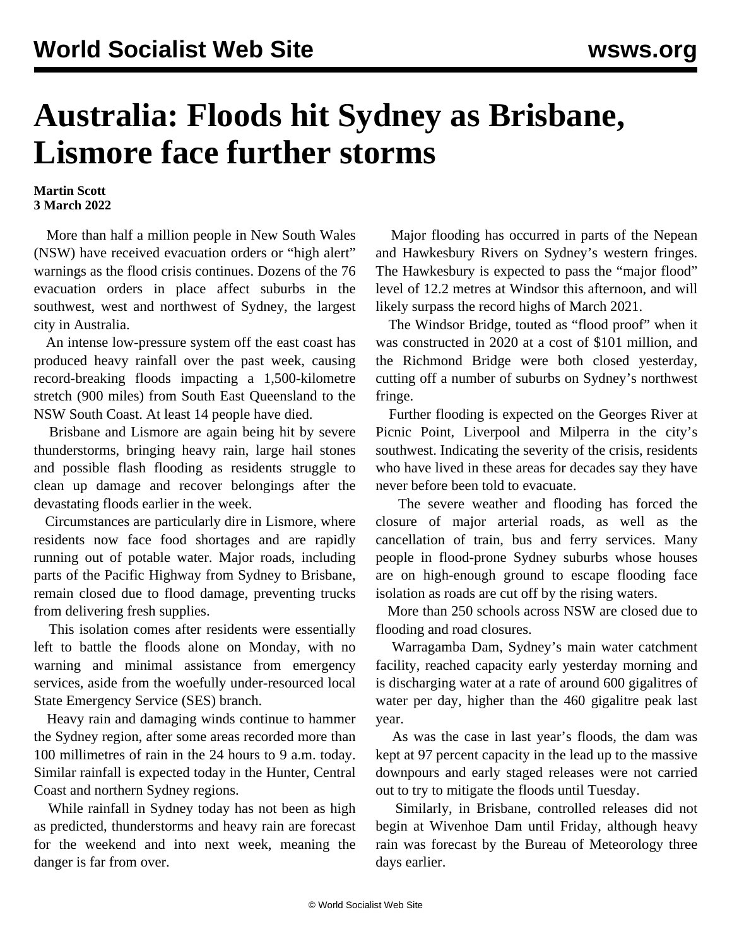## **Australia: Floods hit Sydney as Brisbane, Lismore face further storms**

## **Martin Scott 3 March 2022**

 More than half a million people in New South Wales (NSW) have received evacuation orders or "high alert" warnings as the flood crisis continues. Dozens of the 76 evacuation orders in place affect suburbs in the southwest, west and northwest of Sydney, the largest city in Australia.

 An intense low-pressure system off the east coast has produced heavy rainfall over the past week, causing record-breaking floods impacting a 1,500-kilometre stretch (900 miles) from South East Queensland to the NSW South Coast. At least 14 people have died.

 Brisbane and Lismore are again being hit by severe thunderstorms, bringing heavy rain, large hail stones and possible flash flooding as residents struggle to clean up damage and recover belongings after the devastating floods earlier in the week.

 Circumstances are particularly dire in Lismore, where residents now face food shortages and are rapidly running out of potable water. Major roads, including parts of the Pacific Highway from Sydney to Brisbane, remain closed due to flood damage, preventing trucks from delivering fresh supplies.

 This isolation comes after residents were essentially left to battle the floods alone on Monday, with no warning and minimal assistance from emergency services, aside from the woefully under-resourced local State Emergency Service (SES) branch.

 Heavy rain and damaging winds continue to hammer the Sydney region, after some areas recorded more than 100 millimetres of rain in the 24 hours to 9 a.m. today. Similar rainfall is expected today in the Hunter, Central Coast and northern Sydney regions.

 While rainfall in Sydney today has not been as high as predicted, thunderstorms and heavy rain are forecast for the weekend and into next week, meaning the danger is far from over.

 Major flooding has occurred in parts of the Nepean and Hawkesbury Rivers on Sydney's western fringes. The Hawkesbury is expected to pass the "major flood" level of 12.2 metres at Windsor this afternoon, and will likely surpass the record highs of March 2021.

 The Windsor Bridge, touted as "flood proof" when it was constructed in 2020 at a cost of \$101 million, and the Richmond Bridge were both closed yesterday, cutting off a number of suburbs on Sydney's northwest fringe.

 Further flooding is expected on the Georges River at Picnic Point, Liverpool and Milperra in the city's southwest. Indicating the severity of the crisis, residents who have lived in these areas for decades say they have never before been told to evacuate.

 The severe weather and flooding has forced the closure of major arterial roads, as well as the cancellation of train, bus and ferry services. Many people in flood-prone Sydney suburbs whose houses are on high-enough ground to escape flooding face isolation as roads are cut off by the rising waters.

 More than 250 schools across NSW are closed due to flooding and road closures.

 Warragamba Dam, Sydney's main water catchment facility, reached capacity early yesterday morning and is discharging water at a rate of around 600 gigalitres of water per day, higher than the 460 gigalitre peak last year.

 As was the case in last year's floods, the dam was kept at 97 percent capacity in the lead up to the massive downpours and early staged releases were not carried out to try to mitigate the floods until Tuesday.

 Similarly, in Brisbane, controlled releases did not begin at Wivenhoe Dam until Friday, although heavy rain was forecast by the Bureau of Meteorology three days earlier.